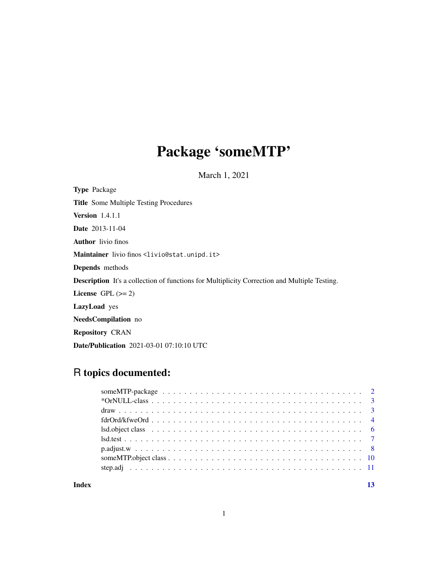# Package 'someMTP'

March 1, 2021

<span id="page-0-0"></span>Type Package Title Some Multiple Testing Procedures Version 1.4.1.1 Date 2013-11-04 Author livio finos Maintainer livio finos <livio@stat.unipd.it> Depends methods Description It's a collection of functions for Multiplicity Correction and Multiple Testing. License GPL  $(>= 2)$ LazyLoad yes NeedsCompilation no Repository CRAN Date/Publication 2021-03-01 07:10:10 UTC

# R topics documented:

| $fdrOrd/kfweOrd \ldots \ldots \ldots \ldots \ldots \ldots \ldots \ldots \ldots \ldots \ldots \ldots$ |  |
|------------------------------------------------------------------------------------------------------|--|
|                                                                                                      |  |
|                                                                                                      |  |
|                                                                                                      |  |
|                                                                                                      |  |
|                                                                                                      |  |
|                                                                                                      |  |

# **Index** [13](#page-12-0)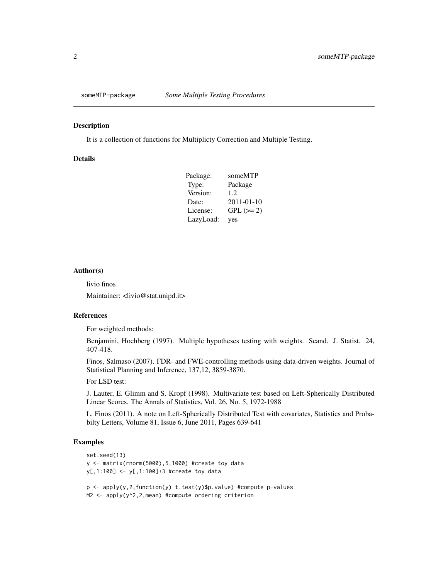<span id="page-1-0"></span>

#### Description

It is a collection of functions for Multiplicty Correction and Multiple Testing.

# Details

| Package:  | someMTP          |
|-----------|------------------|
| Type:     | Package          |
| Version:  | 1.2.             |
| Date:     | $2011 - 01 - 10$ |
| License:  | $GPL (=2)$       |
| LazyLoad: | yes              |

#### Author(s)

livio finos

Maintainer: <livio@stat.unipd.it>

#### References

For weighted methods:

Benjamini, Hochberg (1997). Multiple hypotheses testing with weights. Scand. J. Statist. 24, 407-418.

Finos, Salmaso (2007). FDR- and FWE-controlling methods using data-driven weights. Journal of Statistical Planning and Inference, 137,12, 3859-3870.

For LSD test:

J. Lauter, E. Glimm and S. Kropf (1998). Multivariate test based on Left-Spherically Distributed Linear Scores. The Annals of Statistics, Vol. 26, No. 5, 1972-1988

L. Finos (2011). A note on Left-Spherically Distributed Test with covariates, Statistics and Probabilty Letters, Volume 81, Issue 6, June 2011, Pages 639-641

#### Examples

```
set.seed(13)
y <- matrix(rnorm(5000),5,1000) #create toy data
y[,1:100] <- y[,1:100]+3 #create toy data
p \leq - apply(y, 2, function(y) t.test(y)$p.value) #compute p-values
M2 <- apply(y^2,2,mean) #compute ordering criterion
```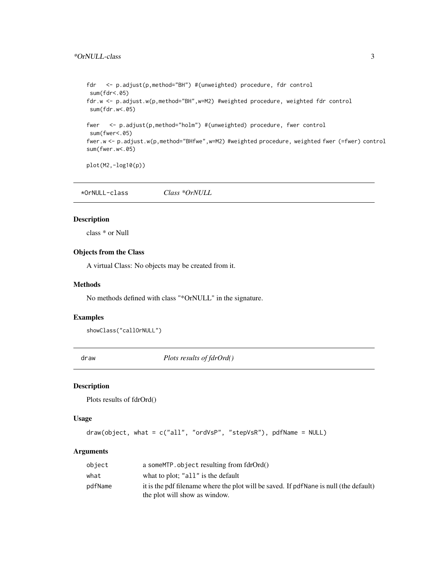```
fdr <- p.adjust(p,method="BH") #(unweighted) procedure, fdr control
sum(fdr<.05)
fdr.w <- p.adjust.w(p,method="BH",w=M2) #weighted procedure, weighted fdr control
sum(fdr.w<.05)
fwer <- p.adjust(p,method="holm") #(unweighted) procedure, fwer control
sum(fwer<.05)
fwer.w <- p.adjust.w(p,method="BHfwe",w=M2) #weighted procedure, weighted fwer (=fwer) control
sum(fwer.w<.05)
plot(M2,-log10(p))
```

```
*OrNULL-class Class *OrNULL
```
#### Description

class \* or Null

#### Objects from the Class

A virtual Class: No objects may be created from it.

#### Methods

No methods defined with class "\*OrNULL" in the signature.

# Examples

showClass("callOrNULL")

<span id="page-2-1"></span>draw *Plots results of fdrOrd()*

# Description

Plots results of fdrOrd()

#### Usage

```
draw(object, what = c("all", "ordVsP", "stepVsR"), pdfName = NULL)
```

| object  | a some MTP, object resulting from $fdrOrd()$                                                                           |
|---------|------------------------------------------------------------------------------------------------------------------------|
| what    | what to plot; "all" is the default                                                                                     |
| pdfName | it is the pdf filename where the plot will be saved. If pdfNane is null (the default)<br>the plot will show as window. |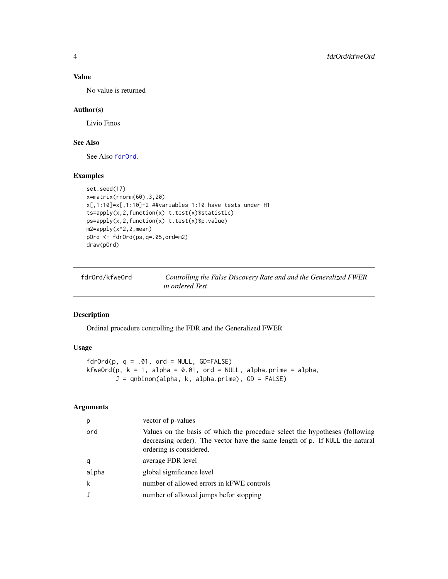# Value

No value is returned

#### Author(s)

Livio Finos

# See Also

See Also [fdrOrd](#page-3-1).

#### Examples

```
set.seed(17)
x=matrix(rnorm(60),3,20)
x[,1:10]=x[,1:10]+2 ##variables 1:10 have tests under H1
ts=apply(x,2,function(x) t.test(x)$statistic)
ps=apply(x,2,function(x) t.test(x)$p.value)
m2=apply(x^2,2,mean)
pOrd <- fdrOrd(ps,q=.05,ord=m2)
draw(pOrd)
```
fdrOrd/kfweOrd *Controlling the False Discovery Rate and and the Generalized FWER in ordered Test*

# <span id="page-3-1"></span>Description

Ordinal procedure controlling the FDR and the Generalized FWER

# Usage

```
fdrOrd(p, q = .01, ord = NULL, GD=FALSE)kfweOrd(p, k = 1, alpha = 0.01, ord = NULL, alpha.prime = alpha,
       J = qnbinom(alpha, k, alpha.prime), GD = FALSE)
```

| p     | vector of p-values                                                                                                                                                                     |
|-------|----------------------------------------------------------------------------------------------------------------------------------------------------------------------------------------|
| ord   | Values on the basis of which the procedure select the hypotheses (following<br>decreasing order). The vector have the same length of p. If NULL the natural<br>ordering is considered. |
| q     | average FDR level                                                                                                                                                                      |
| alpha | global significance level                                                                                                                                                              |
| k     | number of allowed errors in kFWE controls                                                                                                                                              |
|       | number of allowed jumps befor stopping                                                                                                                                                 |

<span id="page-3-0"></span>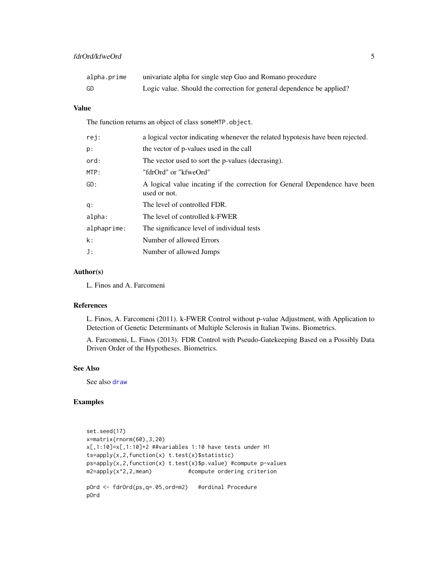<span id="page-4-0"></span>

| alpha.prime | univariate alpha for single step Guo and Romano procedure             |
|-------------|-----------------------------------------------------------------------|
| GD          | Logic value. Should the correction for general dependence be applied? |

# Value

The function returns an object of class someMTP.object.

| rej:        | a logical vector indicating whenever the related hypotesis have been rejected.              |
|-------------|---------------------------------------------------------------------------------------------|
| p:          | the vector of p-values used in the call                                                     |
| ord:        | The vector used to sort the p-values (decrasing).                                           |
| MTP:        | "fdrOrd" or "kfweOrd"                                                                       |
| GD:         | A logical value incating if the correction for General Dependence have been<br>used or not. |
| q:          | The level of controlled FDR.                                                                |
| alpha:      | The level of controlled k-FWER                                                              |
| alphaprime: | The significance level of individual tests                                                  |
| k:          | Number of allowed Errors                                                                    |
| J:          | Number of allowed Jumps                                                                     |
|             |                                                                                             |

# Author(s)

L. Finos and A. Farcomeni

# References

L. Finos, A. Farcomeni (2011). k-FWER Control without p-value Adjustment, with Application to Detection of Genetic Determinants of Multiple Sclerosis in Italian Twins. Biometrics.

A. Farcomeni, L. Finos (2013). FDR Control with Pseudo-Gatekeeping Based on a Possibly Data Driven Order of the Hypotheses. Biometrics.

# See Also

See also [draw](#page-2-1)

# Examples

```
set.seed(17)
x=matrix(rnorm(60),3,20)
x[,1:10]=x[,1:10]+2 ##variables 1:10 have tests under H1
ts=apply(x,2,function(x) t.test(x)$statistic)
ps=apply(x,2,function(x) t.test(x)$p.value) #compute p-values
m2=apply(x^2,2,mean) #compute ordering criterion
pOrd <- fdrOrd(ps,q=.05,ord=m2) #ordinal Procedure
```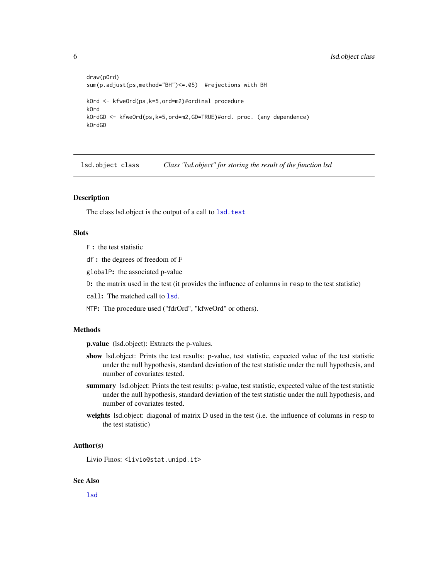```
draw(pOrd)
sum(p.adjust(ps,method="BH")<=.05) #rejections with BH
kOrd <- kfweOrd(ps,k=5,ord=m2)#ordinal procedure
kOrd
kOrdGD <- kfweOrd(ps,k=5,ord=m2,GD=TRUE)#ord. proc. (any dependence)
kOrdGD
```
lsd.object class *Class "lsd.object" for storing the result of the function lsd*

# Description

The class lsd.object is the output of a call to 1sd.test

# Slots

- F : the test statistic
- df : the degrees of freedom of F
- globalP: the associated p-value
- D: the matrix used in the test (it provides the influence of columns in resp to the test statistic)
- call: The matched call to [lsd](#page-6-2).
- MTP: The procedure used ("fdrOrd", "kfweOrd" or others).

#### Methods

p.value (lsd.object): Extracts the p-values.

- show lsd.object: Prints the test results: p-value, test statistic, expected value of the test statistic under the null hypothesis, standard deviation of the test statistic under the null hypothesis, and number of covariates tested.
- summary lsd.object: Prints the test results: p-value, test statistic, expected value of the test statistic under the null hypothesis, standard deviation of the test statistic under the null hypothesis, and number of covariates tested.
- weights lsd.object: diagonal of matrix D used in the test (i.e. the influence of columns in resp to the test statistic)

#### Author(s)

Livio Finos: <livio@stat.unipd.it>

#### See Also

[lsd](#page-6-2)

<span id="page-5-0"></span>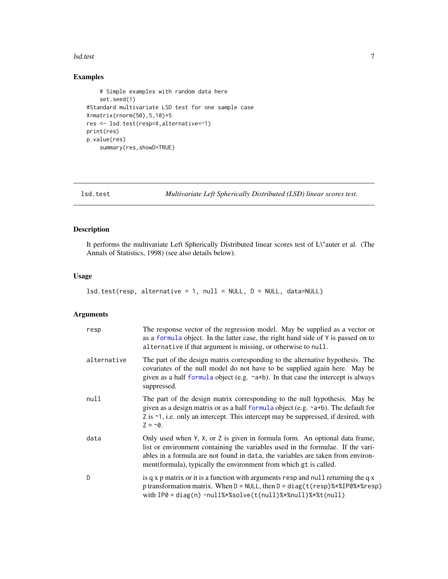#### <span id="page-6-0"></span>lsd.test 7

# Examples

```
# Simple examples with random data here
    set.seed(1)
#Standard multivariate LSD test for one sample case
X=matrix(rnorm(50),5,10)+5
res <- lsd.test(resp=X,alternative=~1)
print(res)
p.value(res)
    summary(res,showD=TRUE)
```
<span id="page-6-1"></span>lsd.test *Multivariate Left Spherically Distributed (LSD) linear scores test.*

# <span id="page-6-2"></span>Description

It performs the multivariate Left Spherically Distributed linear scores test of L\"auter et al. (The Annals of Statistics, 1998) (see also details below).

#### Usage

```
lsd.test(resp, alternative = 1, null = NULL, D = NULL, data=NULL)
```

| resp        | The response vector of the regression model. May be supplied as a vector or<br>as a formula object. In the latter case, the right hand side of Y is passed on to<br>alternative if that argument is missing, or otherwise to null.                                                                                      |
|-------------|-------------------------------------------------------------------------------------------------------------------------------------------------------------------------------------------------------------------------------------------------------------------------------------------------------------------------|
| alternative | The part of the design matrix corresponding to the alternative hypothesis. The<br>covariates of the null model do not have to be supplied again here. May be<br>given as a half formula object (e.g. $\sim a+b$ ). In that case the intercept is always<br>suppressed.                                                  |
| null        | The part of the design matrix corresponding to the null hypothesis. May be<br>given as a design matrix or as a half formula object (e.g. ~a+b). The default for<br>$Z$ is $\sim$ 1, i.e. only an intercept. This intercept may be suppressed, if desired, with<br>$Z = -0$ .                                            |
| data        | Only used when Y, X, or Z is given in formula form. An optional data frame,<br>list or environment containing the variables used in the formulae. If the vari-<br>ables in a formula are not found in data, the variables are taken from environ-<br>ment (formula), typically the environment from which gt is called. |
| D           | is q x p matrix or it is a function with arguments resp and null returning the q x<br>p transformation matrix. When $D = NULL$ , then $D = diag(t$ (resp)%*%IP0%*%resp)<br>with $IP0 = diag(n) - null$ %*%solve(t(null)%*%null)%*%t(null)                                                                               |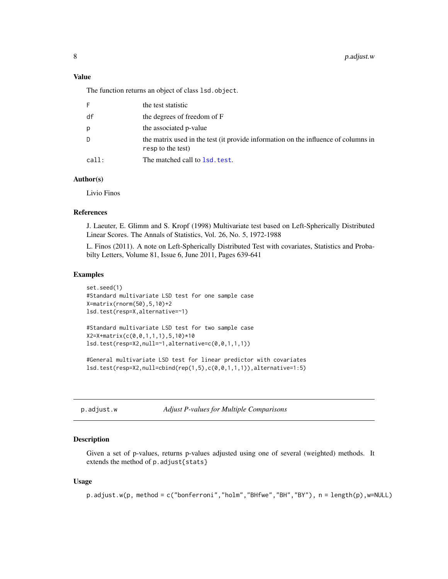# <span id="page-7-0"></span>Value

The function returns an object of class lsd.object.

| F.    | the test statistic                                                                                      |
|-------|---------------------------------------------------------------------------------------------------------|
| df    | the degrees of freedom of F                                                                             |
| р     | the associated p-value                                                                                  |
| D.    | the matrix used in the test (it provide information on the influence of columns in<br>resp to the test) |
| call: | The matched call to 1sd. test.                                                                          |

# Author(s)

Livio Finos

# References

J. Laeuter, E. Glimm and S. Kropf (1998) Multivariate test based on Left-Spherically Distributed Linear Scores. The Annals of Statistics, Vol. 26, No. 5, 1972-1988

L. Finos (2011). A note on Left-Spherically Distributed Test with covariates, Statistics and Probabilty Letters, Volume 81, Issue 6, June 2011, Pages 639-641

#### Examples

```
set.seed(1)
#Standard multivariate LSD test for one sample case
X=matrix(rnorm(50),5,10)+2
lsd.test(resp=X,alternative=~1)
#Standard multivariate LSD test for two sample case
X2=X+matrix(c(0,0,1,1,1),5,10)*10
lsd.test(resp=X2,null=~1,alternative=c(0,0,1,1,1))
#General multivariate LSD test for linear predictor with covariates
```
lsd.test(resp=X2,null=cbind(rep(1,5),c(0,0,1,1,1)),alternative=1:5)

p.adjust.w *Adjust P-values for Multiple Comparisons*

#### **Description**

Given a set of p-values, returns p-values adjusted using one of several (weighted) methods. It extends the method of p.adjust{stats}

#### Usage

p.adjust.w(p, method = c("bonferroni","holm","BHfwe","BH","BY"), n = length(p),w=NULL)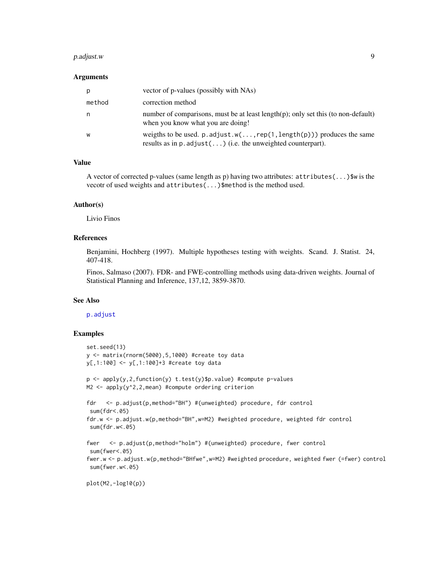#### <span id="page-8-0"></span>p.adjust.w 9

#### Arguments

| p      | vector of p-values (possibly with NAs)                                                                                                                |
|--------|-------------------------------------------------------------------------------------------------------------------------------------------------------|
| method | correction method                                                                                                                                     |
| n      | number of comparisons, must be at least $length(p)$ ; only set this (to non-default)<br>when you know what you are doing!                             |
| W      | weigths to be used. $p$ . adjust. $w(\ldots, rep(1, length(p)))$ produces the same<br>results as in $p$ . adjust() (i.e. the unweighted counterpart). |

# Value

A vector of corrected p-values (same length as p) having two attributes: attributes(...)\$w is the vecotr of used weights and attributes(...)\$method is the method used.

### Author(s)

Livio Finos

# References

Benjamini, Hochberg (1997). Multiple hypotheses testing with weights. Scand. J. Statist. 24, 407-418.

Finos, Salmaso (2007). FDR- and FWE-controlling methods using data-driven weights. Journal of Statistical Planning and Inference, 137,12, 3859-3870.

#### See Also

[p.adjust](#page-0-0)

#### Examples

```
set.seed(13)
y <- matrix(rnorm(5000),5,1000) #create toy data
y[,1:100] <- y[,1:100]+3 #create toy data
p <- apply(y,2,function(y) t.test(y)$p.value) #compute p-values
M2 <- apply(y^2,2,mean) #compute ordering criterion
fdr <- p.adjust(p,method="BH") #(unweighted) procedure, fdr control
 sum(fdr<.05)
fdr.w <- p.adjust.w(p,method="BH",w=M2) #weighted procedure, weighted fdr control
 sum(fdr.w<.05)
fwer <- p.adjust(p,method="holm") #(unweighted) procedure, fwer control
 sum(fwer<.05)
fwer.w <- p.adjust.w(p,method="BHfwe",w=M2) #weighted procedure, weighted fwer (=fwer) control
 sum(fwer.w<.05)
plot(M2,-log10(p))
```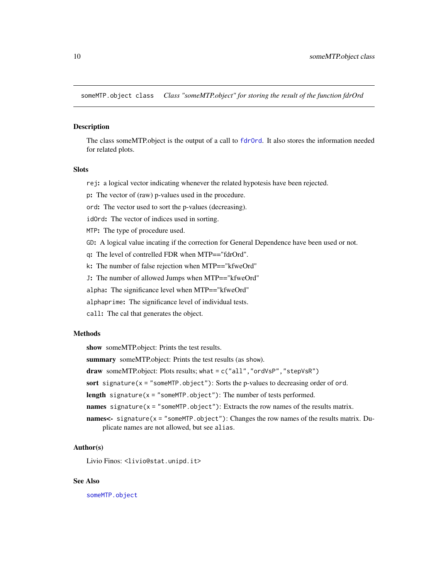<span id="page-9-0"></span>someMTP.object class *Class "someMTP.object" for storing the result of the function fdrOrd*

#### <span id="page-9-1"></span>**Description**

The class someMTP.object is the output of a call to [fdrOrd](#page-3-1). It also stores the information needed for related plots.

# Slots

rej: a logical vector indicating whenever the related hypotesis have been rejected.

p: The vector of (raw) p-values used in the procedure.

ord: The vector used to sort the p-values (decreasing).

idOrd: The vector of indices used in sorting.

MTP: The type of procedure used.

GD: A logical value incating if the correction for General Dependence have been used or not.

q: The level of contrelled FDR when MTP=="fdrOrd".

k: The number of false rejection when MTP=="kfweOrd"

J: The number of allowed Jumps when MTP=="kfweOrd"

alpha: The significance level when MTP=="kfweOrd"

alphaprime: The significance level of individual tests.

call: The cal that generates the object.

#### Methods

show someMTP.object: Prints the test results.

summary someMTP.object: Prints the test results (as show).

draw someMTP.object: Plots results; what =  $c("all", "ordVSP", "stepVSR")$ 

sort signature( $x =$  "someMTP.object"): Sorts the p-values to decreasing order of ord.

length signature( $x =$  "someMTP.object"): The number of tests performed.

names signature( $x =$  "someMTP.object"): Extracts the row names of the results matrix.

names<- signature(x = "someMTP.object"): Changes the row names of the results matrix. Duplicate names are not allowed, but see alias.

#### Author(s)

Livio Finos: <livio@stat.unipd.it>

# See Also

[someMTP.object](#page-9-1)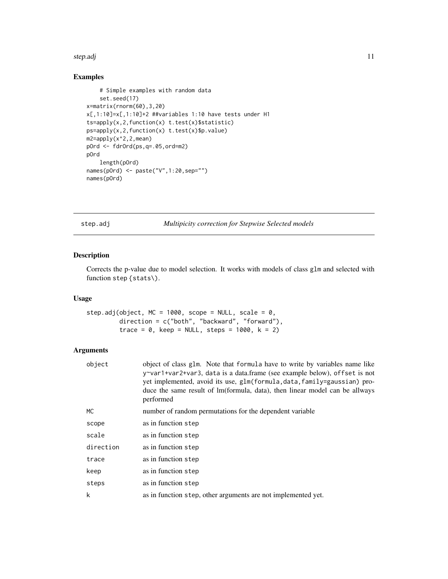#### <span id="page-10-0"></span>step.adj in the state of the state of the state of the state of the state of the state of the state of the state of the state of the state of the state of the state of the state of the state of the state of the state of th

# Examples

```
# Simple examples with random data
   set.seed(17)
x=matrix(rnorm(60),3,20)
x[,1:10]=x[,1:10]+2 ##variables 1:10 have tests under H1
ts=apply(x,2,function(x) t.test(x)$statistic)
ps=apply(x,2,function(x) t.test(x)$p.value)
m2=apply(x^2,2,mean)
pOrd <- fdrOrd(ps,q=.05,ord=m2)
pOrd
   length(pOrd)
names(pOrd) <- paste("V",1:20,sep="")
names(pOrd)
```
step.adj *Multipicity correction for Stepwise Selected models*

# Description

Corrects the p-value due to model selection. It works with models of class glm and selected with function step {stats\).

# Usage

```
step.adj(object, MC = 1000, scope = NULL, scale = 0,
         direction = c("both", "backward", "forward"),
         trace = \theta, keep = NULL, steps = 1000, k = 2)
```

| object    | object of class glm. Note that formula have to write by variables name like<br>y~var1+var2+var3, data is a data.frame (see example below), offset is not<br>yet implemented, avoid its use, glm(formula, data, family=gaussian) pro-<br>duce the same result of lm(formula, data), then linear model can be allways<br>performed |
|-----------|----------------------------------------------------------------------------------------------------------------------------------------------------------------------------------------------------------------------------------------------------------------------------------------------------------------------------------|
| МC        | number of random permutations for the dependent variable                                                                                                                                                                                                                                                                         |
| scope     | as in function step                                                                                                                                                                                                                                                                                                              |
| scale     | as in function step                                                                                                                                                                                                                                                                                                              |
| direction | as in function step                                                                                                                                                                                                                                                                                                              |
| trace     | as in function step                                                                                                                                                                                                                                                                                                              |
| keep      | as in function step                                                                                                                                                                                                                                                                                                              |
| steps     | as in function step                                                                                                                                                                                                                                                                                                              |
| k         | as in function step, other arguments are not implemented yet.                                                                                                                                                                                                                                                                    |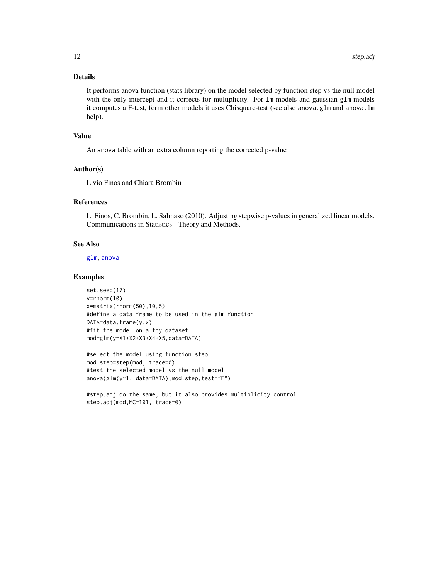# <span id="page-11-0"></span>Details

It performs anova function (stats library) on the model selected by function step vs the null model with the only intercept and it corrects for multiplicity. For 1m models and gaussian g1m models it computes a F-test, form other models it uses Chisquare-test (see also anova.glm and anova.lm help).

#### Value

An anova table with an extra column reporting the corrected p-value

#### Author(s)

Livio Finos and Chiara Brombin

#### References

L. Finos, C. Brombin, L. Salmaso (2010). Adjusting stepwise p-values in generalized linear models. Communications in Statistics - Theory and Methods.

#### See Also

[glm](#page-0-0), [anova](#page-0-0)

#### Examples

set.seed(17) y=rnorm(10) x=matrix(rnorm(50),10,5) #define a data.frame to be used in the glm function DATA=data.frame(y,x) #fit the model on a toy dataset mod=glm(y~X1+X2+X3+X4+X5,data=DATA)

```
#select the model using function step
mod.step=step(mod, trace=0)
#test the selected model vs the null model
anova(glm(y~1, data=DATA),mod.step,test="F")
```
#step.adj do the same, but it also provides multiplicity control step.adj(mod,MC=101, trace=0)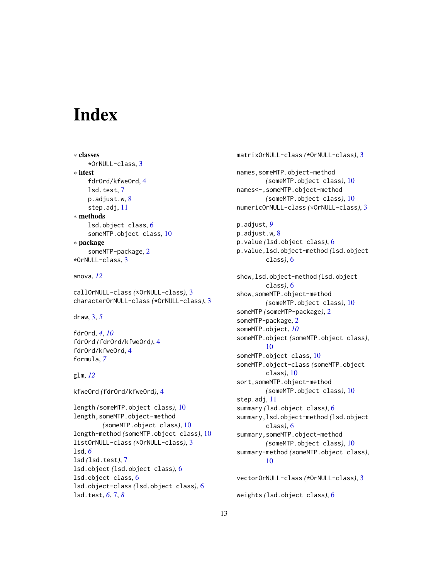# <span id="page-12-0"></span>**Index**

```
∗ classes
    *OrNULL-class, 3
∗ htest
    fdrOrd/kfweOrd, 4
    lsd.test, 7
    p.adjust.w, 8
    step.adj, 11
∗ methods
    lsd.object class, 6
    someMTP.object class, 10
∗ package
    someMTP-package, 2
*OrNULL-class, 3
```
anova, *[12](#page-11-0)*

callOrNULL-class *(*\*OrNULL-class*)*, [3](#page-2-0) characterOrNULL-class *(*\*OrNULL-class*)*, [3](#page-2-0)

draw, [3,](#page-2-0) *[5](#page-4-0)*

fdrOrd, *[4](#page-3-0)*, *[10](#page-9-0)* fdrOrd *(*fdrOrd/kfweOrd*)*, [4](#page-3-0) fdrOrd/kfweOrd, [4](#page-3-0) formula, *[7](#page-6-0)*

glm, *[12](#page-11-0)*

kfweOrd *(*fdrOrd/kfweOrd*)*, [4](#page-3-0)

```
length (someMTP.object class), 10
length,someMTP.object-method
        (someMTP.object class), 10
length-method (someMTP.object class), 10
listOrNULL-class (*OrNULL-class), 3
lsd, 6
lsd (lsd.test), 7
lsd.object (lsd.object class), 6
lsd.object class, 6
lsd.object-class (lsd.object class), 6
lsd.test, 6, 7, 8
```

```
matrixOrNULL-class (*OrNULL-class), 3
names,someMTP.object-method
        (someMTP.object class), 10
names<-,someMTP.object-method
        (someMTP.object class), 10
numericOrNULL-class (*OrNULL-class), 3
p.adjust, 9
p.adjust.w, 8
p.value (lsd.object class), 6
p.value,lsd.object-method (lsd.object
        class), 6
show,lsd.object-method (lsd.object
        class), 6
show,someMTP.object-method
        (someMTP.object class), 10
someMTP (someMTP-package), 2
someMTP-package, 2
someMTP.object, 10
someMTP.object (someMTP.object class),
        10
someMTP.object class, 10
someMTP.object-class (someMTP.object
        class), 10
sort,someMTP.object-method
        (someMTP.object class), 10
step.adj, 11
summary (lsd.object class), 6
summary,lsd.object-method (lsd.object
        class), 6
summary,someMTP.object-method
        (someMTP.object class), 10
summary-method (someMTP.object class),
        10
```

```
vectorOrNULL-class (*OrNULL-class), 3
weights (lsd.object class), 6
```